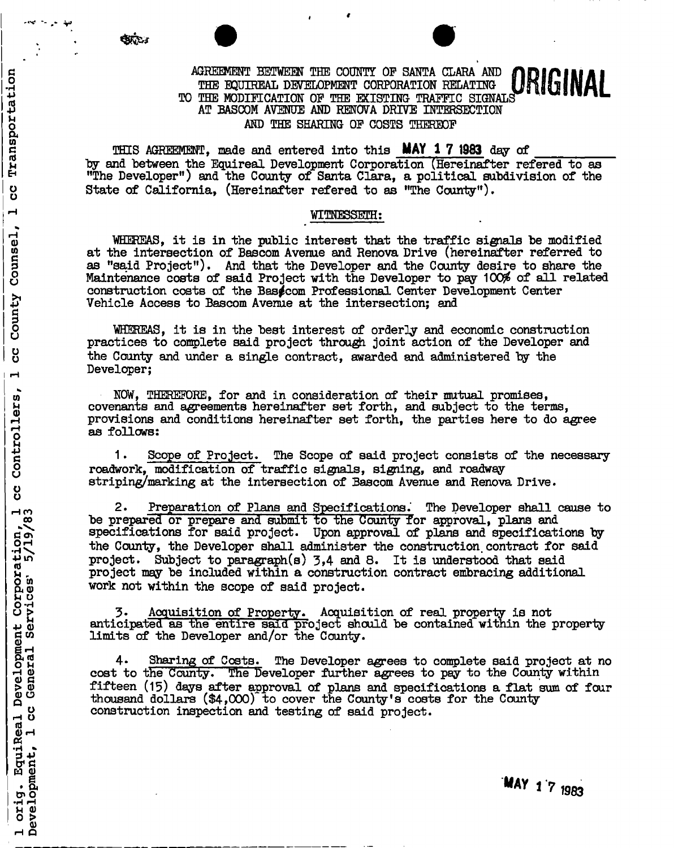#### AGREEMENT BETWEEN THE COUNTY OF SANTA CLARA AND THE EQUIREAL DEVELOPMENT CORPORATION RELATING TO THE MODIFICATION OF THE EXISTING TRAFFIC SIGNALS , L AT BASCOM AVENUE AND RENOVA DRIVE INTERSECTION AND THE SHARING OF COSTS THEREOF

THIS AGREEMENT, made and entered into this **MAY 1 7 1983** day of by and "between the Equireal Development Corporation (Hereinafter refered to as "The Developer") and the County of Santa Clara, a political subdivision of the State of California, (Hereinafter refered to as "The County").

#### WITNESSETH:

WHEREAS, it is in the public interest that the traffic sigpals be modified at the intersection of Bascom Avenue and Renova Drive (hereinafter referred to as "said Project"), And that the Developer and the County desire to share the Maintenance costs of said Project with the Developer to pay 100\$ of all related construction costs of the Basgcom Professional Center Development Center Vehicle Access to Bascom Avenue at the intersection; and

WHEREAS, it is in the best interest of orderly and economic construction practices to complete said project through joint action of the Developer and the County and under a single contract, awarded and administered by the Developer;

NOW, THEREFORE, for and in consideration of their mutual promises, covenants and agreements hereinafter set forth, and subject to the terms, provisions and conditions hereinafter set forth, the parties here to do agree as follows:

1. Scope of Project. The Scope of said project consists of the necessary roadwork, modification of traffic signals, signing, and roadway striping/marking at the intersection of Bascom Avenue and Renova Drive.

2. Preparation of Plans and Specifications. The Developer shall cause to be prepared or prepare and submit to the County for approval, plans and specifications for said project. Upon approval of plans and specifications by the County, the Developer shall administer the construction, contract for said project. Subject to paragraph(s)  $3,4$  and 8. It is understood that said project may be included within a construction contract embracing additional work not within the scope of said project.

3\* Acquisition of Property. Acquisition of real property is not anticipated as the entire said, project should be contained within the property limits of the Developer and/or the County.

4- Sharing of Costs. The Developer agrees to complete said project at no cost to the County. The Developer further agrees to pay to the County within fifteen (15) days after approval of plans and specifications a flat sum of four thousand dollars  $(\$4,000)$  to cover the County's costs for the County construction inspection and testing of said project.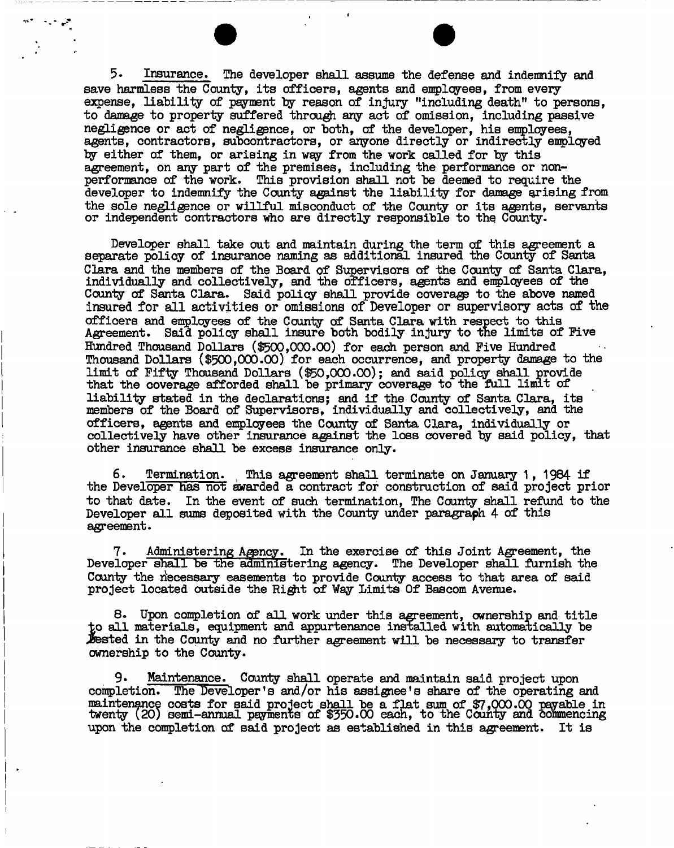5- Insurance, The developer shall assume the defense and indemnify and save harmless the County, its officers, agents and employees, from every expense, liability of payment by reason of injury "including death" to persons, to damage to property suffered through any act of omission, including passive negligence or act of negligence, or both, of the developer, his employees, agents, contractors, subcontractors, or anyone directly or indirectly employed by either of them, or arising in way from the work called for by this agreement, on any part of the premises, including the performance or nonperformance of the work. This provision shall not be deemed to require the developer to indemnify the County against the liability for damage arising from the sole negligence or willful misconduct of the County or its agents, servants or independent contractors who are directly responsible to the County.

 $\mathcal{F}^{\mathcal{G}}_{\mathcal{G}}$  and  $\mathcal{F}^{\mathcal{G}}_{\mathcal{G}}$ 

Developer shall take out and maintain during the term of this agreement a separate policy of insurance naming as additional insured the County of Santa Clara and the members of the Board of Supervisors of the County of Santa Clara, individually and collectively, and the officers, agents and employees of the County of Santa Clara. Said policy shall provide coverage to the above named insured for all activities or omissions of Developer or supervisory acts of the officers and employees of the County of Santa Clara with respect to this Agreement. Said policy shall insure both bodily injury to the limits of Five Hundred Thousand Dollars (\$500,000.00) for each person and Five Hundred Thousand Dollars (\$500,000.00) for each occurrence, and property damage to the limit of Fifty Thousand Dollars (\$50,000.00); and said policy shall provide that the coverage afforded shall be primary coverage to the full limit of liability stated in the declarations; and if the County of Santa Clara, its members of the Board of Supervisors, individually and collectively, and the officers, agents and employees the County of Santa Clara, individually or collectively have other insurance against the loss covered by said policy, that other insurance shall be excess insurance only.

6. Termination. This agreement shall terminate on January 1, 1984- if the Developer has not awarded a contract for construction of said project prior to that date. In the event of such termination, The County shall refund to the Developer all sums deposited with the County under paragraph 4 of this agreement.

7. Administering Agency. In the exercise of this Joint Agreement, the Developer shall be the administering agency. The Developer shall furnish the County the riecessary easements to provide County access to that area of said project located outside the Right of Way Limits Of Bascom Avenue.

8. Upon completion of all work under this agreement, ownership and title to all materials, equipment and appurtenance installed with automatically be Jested in the County and no further agreement will be necessary to transfer ownership to the County.

Maintenance. County shall operate and maintain said project upon completion. The Developer's and/or his assignee's share of the operating and maintenance costs for said project shall be a flat sum of \$7,000.00 payable in twenty (20) semi-annual payments of \$350.00 each, to the County and commencing upon the completion of said project as established in this agreement. It is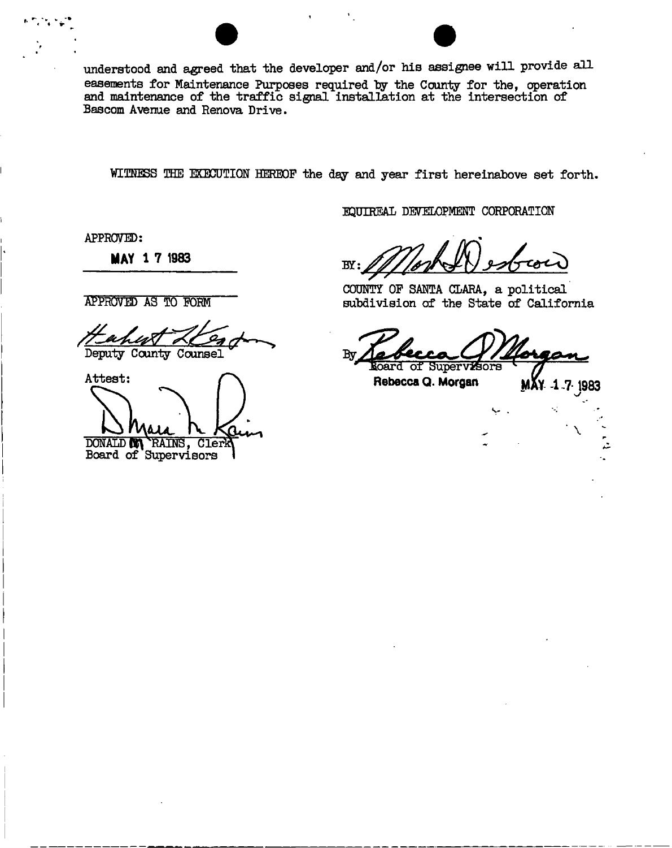understood and agreed that the developer and/or his assignee will provide all easements for Maintenance Purposes required by the County for the, operation and maintenance of the traffic signal installation at the intersection of Bascom Avenue and Renova Drive.

WITNESS THE EXECUTION HEREOF the day and year first hereinabove set forth.

EQUIREAL DEVELOPMENT CORPORATION

APPROVED:

**MAY 1 7 1983** 

APPROVED AS TO FORM

Deputy County Counsel

Attest:

DONALD **MA** RAINS, Clerk

Board of Supervisors

 $BY$ 

COUNTY OF SANTA CLARA, a political subdivision of the State of California

 $Bv$ **Roard of Supervisors** 

Rebecca Q. Morgan  $M_X$  4.7. 1983

**\**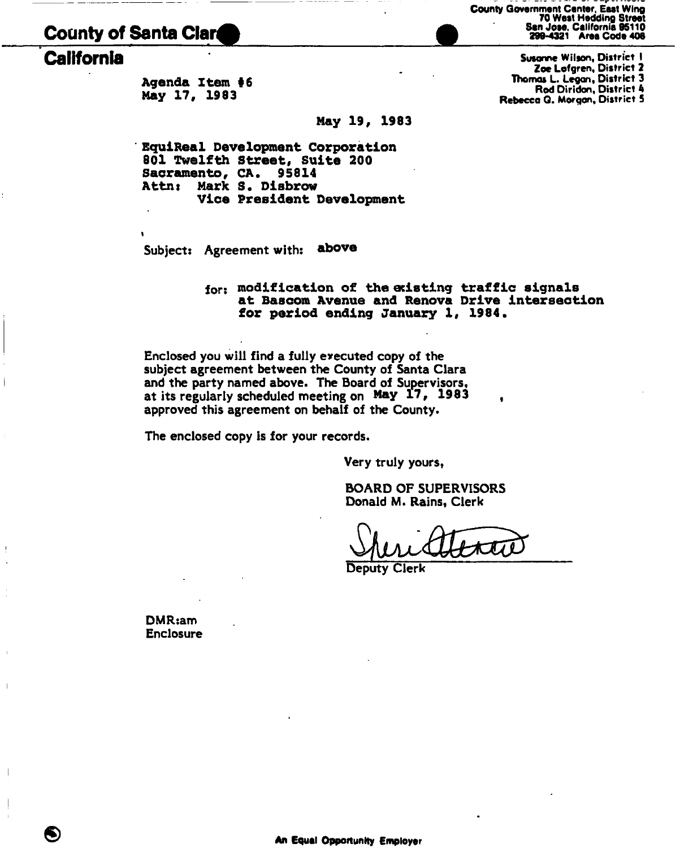# **County of Santa Clara**

**Agenda Item #6 May 17, 1983** 

**May 19, 1983** 

**EquiReal Development Corporation 801 Twelfth Street, Suite 200 Sacramento, CA. 95814 Attns Mark** *S.* **Disbrow Vice President Development** 

Subjects Agreement with: **above** 

#### for: **modification of the eclating traffic signals at Bascom Avenue and Renova Drive intersection for period ending January 1, 1984.**

Enclosed you will find a fully executed copy of the subject agreement between the County of Santa Clara and the party named above. The Board of Supervisors, at its regularly scheduled meeting on **May 17, 1983**  approved this agreement on behalf of the County.

The enclosed copy is for your records.

Very truly yours,

BOARD OF SUPERVISORS Donald M. Rains, Clerk

Deputy Clerk

DMR:am Enclosure County Government Center, East Wing 70 West Hedding Street<br>San Jose, California 95110<br>299-4321 Area Code 408

**California California Susonne Wilson, District I** Zoe Lofgren, District 2 Thomas L. Legan, District 3 Rod Diridon, District 4 Rebecca Q. Morgan, District 5

I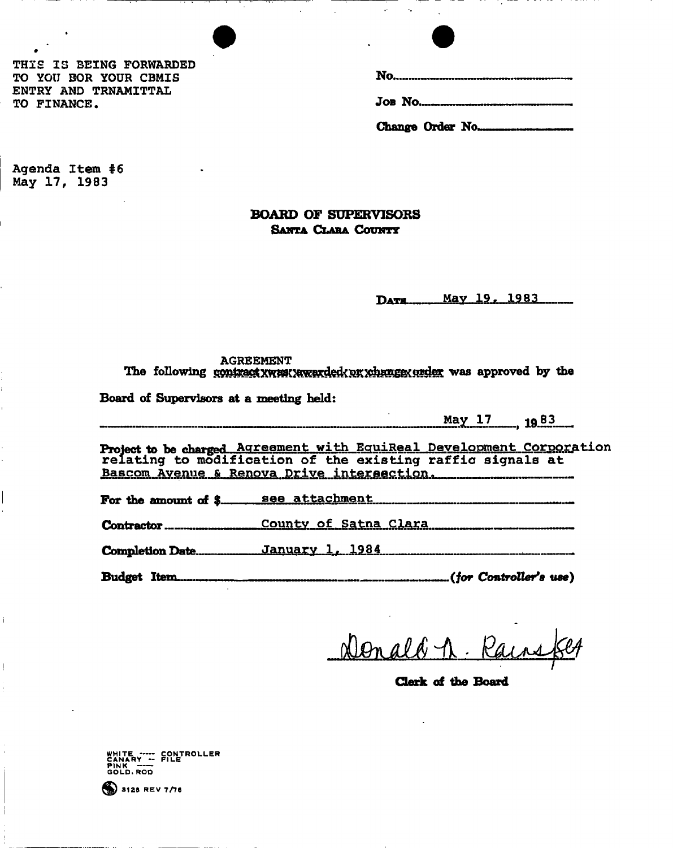THIS IS BEING FORWARDED TO YOtJ BOR YOUR CBMIS ENTRY AND TRNAMITTAL TO FINANCE.

Change Order No....

Agenda Item #6 May 17, 1983

## BOARD OF SUPERVISORS SANTA CLARA COUNTY

May 19, 1983 DATE..

# AGREEMENT<br>The following goninactive method and the state of the setting and the state of the state of the state of the state of the state of the state of the state of the state of the state of the state of the state of the **The following was approximately was approximately defined by the**  $\frac{1}{2}$

Board of Supervisors at a meeting held:

**May 17** 1983

Project to be charged Agreement with EquiReal Development Corporation relating to modification of the existing raffic signals at Bascom Avenue & Renova Drive intersection.

For the amount of \$ see attachment

**Contractor** <u>County of Satna Clara</u>

**Completion Date.** January 1, 1984

**Budget Item** *(for Controller\*a use)* 

Donald n. Rains

**Clerk of the Board** 

WHITE ----- CONTROLLER<br>Canary -- File PINK ---<br>GOLD.ROD

 $$3128$  REV 7/76

**Board of Supervisors at a meeting held:**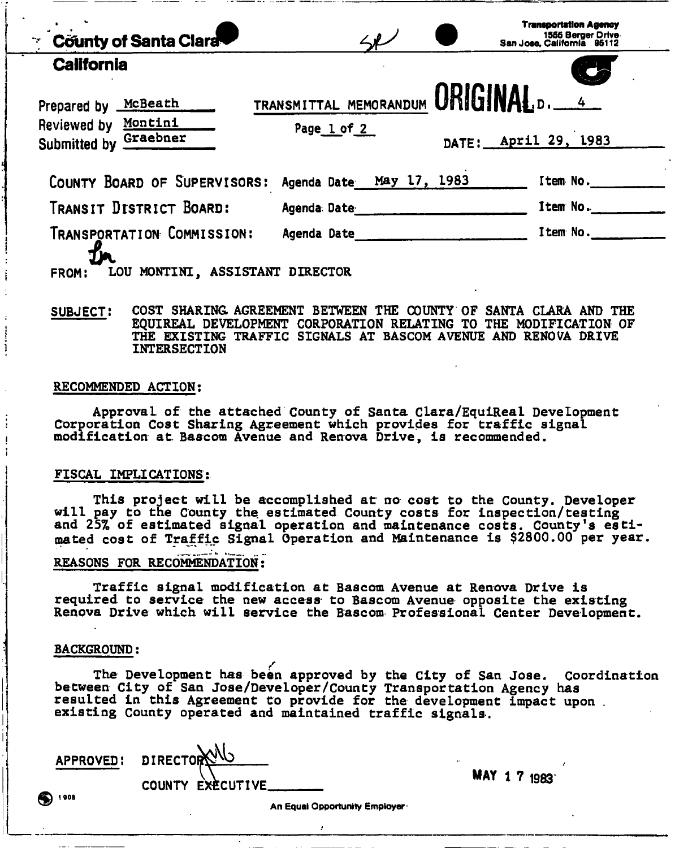| $\angle$ J $\angle$ |                                           | <b>Transportation Agency</b><br>1555 Berger Drive<br>San Jose, California 95112 |
|---------------------|-------------------------------------------|---------------------------------------------------------------------------------|
|                     |                                           |                                                                                 |
| Page 1 of 2         |                                           | DATE: April 29, 1983                                                            |
|                     |                                           | Item No.                                                                        |
| Agenda Date         |                                           | Item No.                                                                        |
| Agenda Date         |                                           | Item No.                                                                        |
|                     | LOU MONTINI, ASSISTANT<br><b>DIRECTOR</b> | COUNTY BOARD OF SUPERVISORS: Agenda Date May 17, 1983                           |

**SUBJECT! COST SHARING AGREEMENT BETWEEN THE COUNTY OF SANTA CLARA AND THE EQUIREAL DEVELOPMENT CORPORATION RELATING TO THE MODIFICATION OF THE EXISTING TRAFFIC SIGNALS AT BASCOM AVENUE AND RENOVA DRIVE INTERSECTION** 

#### RECOMMENDED ACTION:

I

Approval of the attached County of Santa Clara/EquiReal Development Corporation Cost Sharing Agreement which provides for traffic signal modification at. Bascom Avenue and Renova Drive, is recommended.

#### FISCAL IMPLICATIONS:

This project will be accomplished at no cost to the County. Developer will pay to the County the estimated County costs for inspection/testing and 25% of estimated signal operation and maintenance costs. County's estimated cost of Traffic Signal Operation and Maintenance is \$2800.00 per year.

#### REASONS FOR RECOMMENDATION:

Traffic signal modification at Bascom Avenue at Renova Drive is required to service the new access to Bascom Avenue opposite the existing Renova Drive which will service the Bascom Professional Center Development.

#### BACKGROUND:

The Development has been approved by the City of San Jose. Coordination between City of San Jose/Developer/County Transportation Agency has resulted in this Agreement to provide for the development impact upon . existing County operated and maintained traffic signals.

APPROVED: DIRECTOR ^ COUNTY EXECUTIVE

r

MAY 1 7 1983

An Equal Opportunity Employer

1 00B